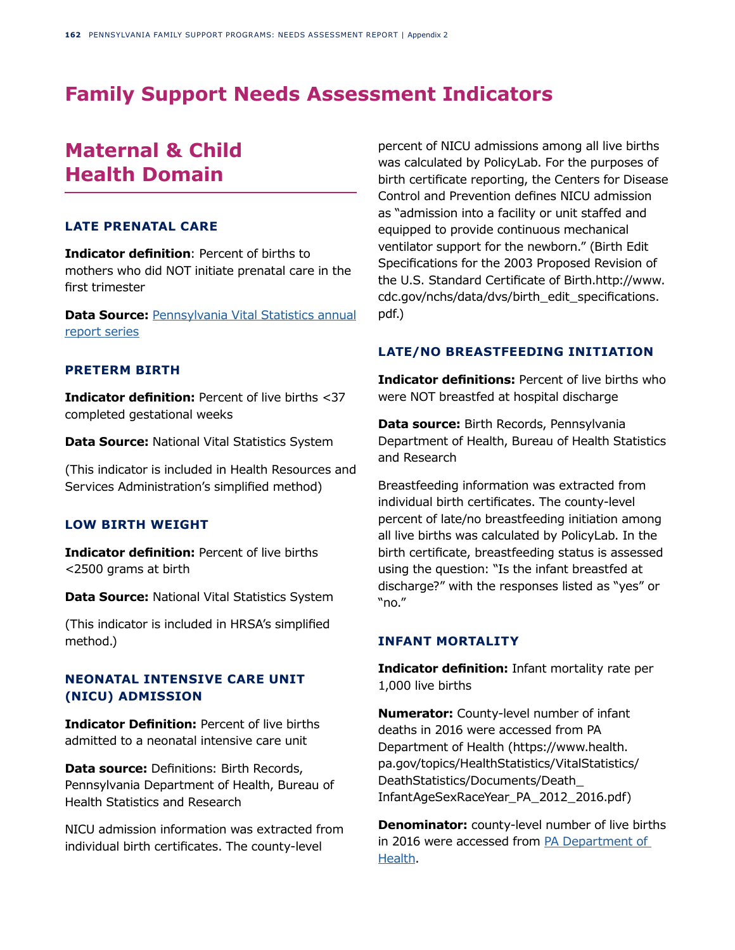# **Family Support Needs Assessment Indicators**

# **Maternal & Child Health Domain**

# **LATE PRENATAL CARE**

**Indicator definition**: Percent of births to mothers who did NOT initiate prenatal care in the first trimester

**Data Source: [Pennsylvania Vital Statistics annual](http://Pennsylvania Vital Statistics annual report series)** [report series](http://Pennsylvania Vital Statistics annual report series)

## **PRETERM BIRTH**

**Indicator definition:** Percent of live births <37 completed gestational weeks

**Data Source:** National Vital Statistics System

(This indicator is included in Health Resources and Services Administration's simplified method)

# **LOW BIRTH WEIGHT**

**Indicator definition:** Percent of live births <2500 grams at birth

**Data Source:** National Vital Statistics System

(This indicator is included in HRSA's simplified method.)

# **NEONATAL INTENSIVE CARE UNIT (NICU) ADMISSION**

**Indicator Definition:** Percent of live births admitted to a neonatal intensive care unit

**Data source:** Definitions: Birth Records, Pennsylvania Department of Health, Bureau of Health Statistics and Research

NICU admission information was extracted from individual birth certificates. The county-level

percent of NICU admissions among all live births was calculated by PolicyLab. For the purposes of birth certificate reporting, the Centers for Disease Control and Prevention defines NICU admission as "admission into a facility or unit staffed and equipped to provide continuous mechanical ventilator support for the newborn." (Birth Edit Specifications for the 2003 Proposed Revision of the U.S. Standard Certificate of Birth.http://www. cdc.gov/nchs/data/dvs/birth\_edit\_specifications. pdf.)

#### **LATE/NO BREASTFEEDING INITIATION**

**Indicator definitions: Percent of live births who** were NOT breastfed at hospital discharge

**Data source:** Birth Records, Pennsylvania Department of Health, Bureau of Health Statistics and Research

Breastfeeding information was extracted from individual birth certificates. The county-level percent of late/no breastfeeding initiation among all live births was calculated by PolicyLab. In the birth certificate, breastfeeding status is assessed using the question: "Is the infant breastfed at discharge?" with the responses listed as "yes" or "no."

## **INFANT MORTALITY**

**Indicator definition:** Infant mortality rate per 1,000 live births

**Numerator:** County-level number of infant deaths in 2016 were accessed from PA Department of Health (https://www.health. pa.gov/topics/HealthStatistics/VitalStatistics/ DeathStatistics/Documents/Death\_ InfantAgeSexRaceYear\_PA\_2012\_2016.pdf)

**Denominator:** county-level number of live births in 2016 were accessed from [PA Department of](https://www.health.pa.gov/topics/HealthStatistics/VitalStatistics/BirthStatistics/Pages/birth-statistics.aspx)  [Health.](https://www.health.pa.gov/topics/HealthStatistics/VitalStatistics/BirthStatistics/Pages/birth-statistics.aspx)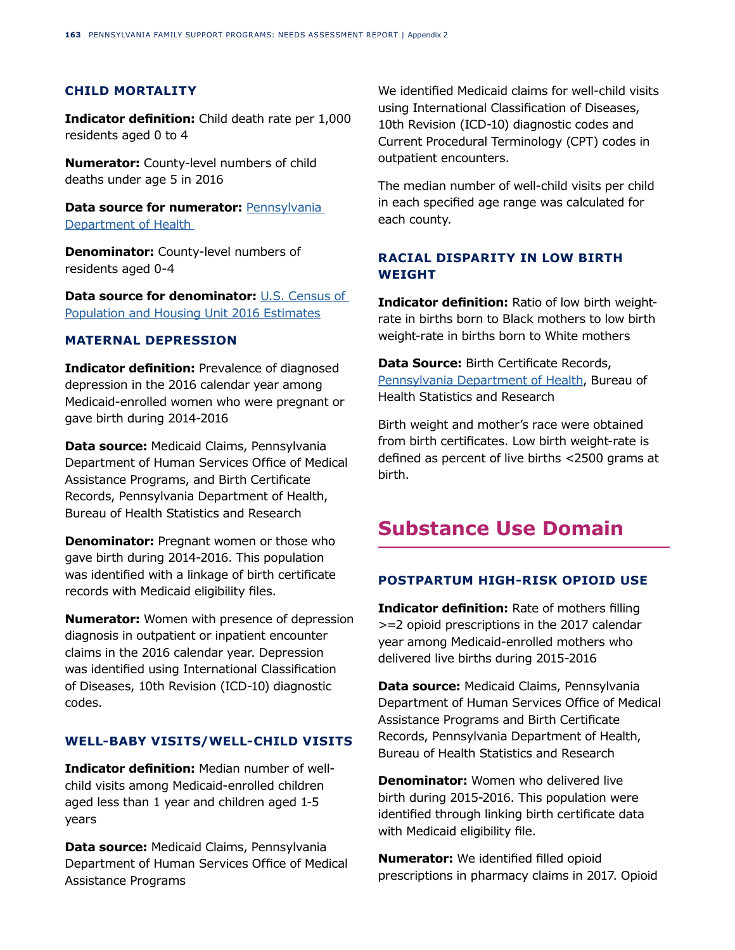# **CHILD MORTALITY**

**Indicator definition:** Child death rate per 1,000 residents aged 0 to 4

**Numerator:** County-level numbers of child deaths under age 5 in 2016

**Data source for numerator: Pennsylvania** [Department of Health](https://www.health.pa.gov/topics/HealthStatistics/VitalStatistics/DeathStatistics/Pages/death-statistics.aspx) 

**Denominator:** County-level numbers of residents aged 0-4

**Data source for denominator:** [U.S. Census of](https://datacenter.kidscount.org/data/tables/9015-population--children-ages-0-19-by-race-and-age-group#detailed/2/any/false/870,573,869,36,868,867,133/3008,3655,2318,4929,2320,2321,2322|577/18038,18039)  [Population and Housing Unit 2016 Estimates](https://datacenter.kidscount.org/data/tables/9015-population--children-ages-0-19-by-race-and-age-group#detailed/2/any/false/870,573,869,36,868,867,133/3008,3655,2318,4929,2320,2321,2322|577/18038,18039)

## **MATERNAL DEPRESSION**

**Indicator definition:** Prevalence of diagnosed depression in the 2016 calendar year among Medicaid-enrolled women who were pregnant or gave birth during 2014-2016

**Data source:** Medicaid Claims, Pennsylvania Department of Human Services Office of Medical Assistance Programs, and Birth Certificate Records, Pennsylvania Department of Health, Bureau of Health Statistics and Research

**Denominator:** Pregnant women or those who gave birth during 2014-2016. This population was identified with a linkage of birth certificate records with Medicaid eligibility files.

**Numerator:** Women with presence of depression diagnosis in outpatient or inpatient encounter claims in the 2016 calendar year. Depression was identified using International Classification of Diseases, 10th Revision (ICD-10) diagnostic codes.

# **WELL-BABY VISITS/WELL-CHILD VISITS**

**Indicator definition:** Median number of wellchild visits among Medicaid-enrolled children aged less than 1 year and children aged 1-5 years

**Data source:** Medicaid Claims, Pennsylvania Department of Human Services Office of Medical Assistance Programs

We identified Medicaid claims for well-child visits using International Classification of Diseases, 10th Revision (ICD-10) diagnostic codes and Current Procedural Terminology (CPT) codes in outpatient encounters.

The median number of well-child visits per child in each specified age range was calculated for each county.

# **RACIAL DISPARITY IN LOW BIRTH WEIGHT**

**Indicator definition:** Ratio of low birth weightrate in births born to Black mothers to low birth weight-rate in births born to White mothers

**Data Source:** Birth Certificate Records, [Pennsylvania Department of Health](https://www.health.pa.gov/topics/HealthStatistics/VitalStatistics/BirthStatistics/Pages/birth-statistics.aspx), Bureau of Health Statistics and Research

Birth weight and mother's race were obtained from birth certificates. Low birth weight-rate is defined as percent of live births <2500 grams at birth.

# **Substance Use Domain**

# **POSTPARTUM HIGH-RISK OPIOID USE**

**Indicator definition:** Rate of mothers filling >=2 opioid prescriptions in the 2017 calendar year among Medicaid-enrolled mothers who delivered live births during 2015-2016

**Data source:** Medicaid Claims, Pennsylvania Department of Human Services Office of Medical Assistance Programs and Birth Certificate Records, Pennsylvania Department of Health, Bureau of Health Statistics and Research

**Denominator:** Women who delivered live birth during 2015-2016. This population were identified through linking birth certificate data with Medicaid eligibility file.

**Numerator:** We identified filled opioid prescriptions in pharmacy claims in 2017. Opioid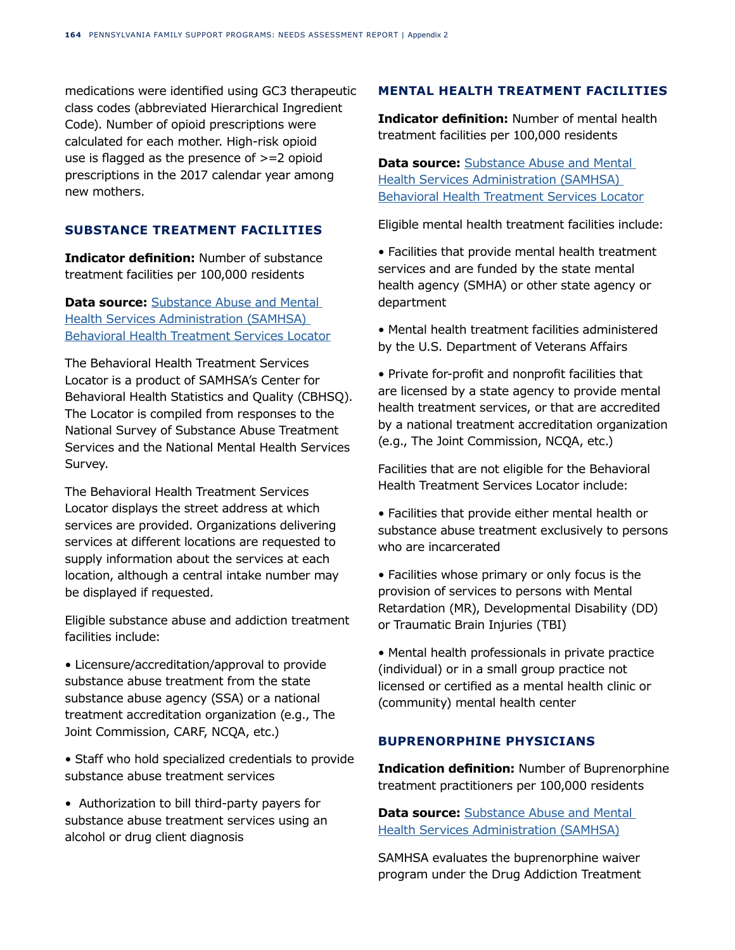medications were identified using GC3 therapeutic class codes (abbreviated Hierarchical Ingredient Code). Number of opioid prescriptions were calculated for each mother. High-risk opioid use is flagged as the presence of >=2 opioid prescriptions in the 2017 calendar year among new mothers.

# **SUBSTANCE TREATMENT FACILITIES**

**Indicator definition:** Number of substance treatment facilities per 100,000 residents

**Data source:** Substance Abuse and Mental [Health Services Administration \(SAMHSA\)](https://findtreatment.samhsa.gov/locator)  [Behavioral Health Treatment Services Locator](https://findtreatment.samhsa.gov/locator)

The Behavioral Health Treatment Services Locator is a product of SAMHSA's Center for Behavioral Health Statistics and Quality (CBHSQ). The Locator is compiled from responses to the National Survey of Substance Abuse Treatment Services and the National Mental Health Services Survey.

The Behavioral Health Treatment Services Locator displays the street address at which services are provided. Organizations delivering services at different locations are requested to supply information about the services at each location, although a central intake number may be displayed if requested.

Eligible substance abuse and addiction treatment facilities include:

• Licensure/accreditation/approval to provide substance abuse treatment from the state substance abuse agency (SSA) or a national treatment accreditation organization (e.g., The Joint Commission, CARF, NCQA, etc.)

• Staff who hold specialized credentials to provide substance abuse treatment services

• Authorization to bill third-party payers for substance abuse treatment services using an alcohol or drug client diagnosis

## **MENTAL HEALTH TREATMENT FACILITIES**

**Indicator definition:** Number of mental health treatment facilities per 100,000 residents

**Data source:** [Substance Abuse and Mental](https://findtreatment.samhsa.gov/locator)  [Health Services Administration \(SAMHSA\)](https://findtreatment.samhsa.gov/locator)  [Behavioral Health Treatment Services Locator](https://findtreatment.samhsa.gov/locator)

Eligible mental health treatment facilities include:

• Facilities that provide mental health treatment services and are funded by the state mental health agency (SMHA) or other state agency or department

• Mental health treatment facilities administered by the U.S. Department of Veterans Affairs

• Private for-profit and nonprofit facilities that are licensed by a state agency to provide mental health treatment services, or that are accredited by a national treatment accreditation organization (e.g., The Joint Commission, NCQA, etc.)

Facilities that are not eligible for the Behavioral Health Treatment Services Locator include:

• Facilities that provide either mental health or substance abuse treatment exclusively to persons who are incarcerated

• Facilities whose primary or only focus is the provision of services to persons with Mental Retardation (MR), Developmental Disability (DD) or Traumatic Brain Injuries (TBI)

• Mental health professionals in private practice (individual) or in a small group practice not licensed or certified as a mental health clinic or (community) mental health center

# **BUPRENORPHINE PHYSICIANS**

**Indication definition:** Number of Buprenorphine treatment practitioners per 100,000 residents

**Data source:** Substance Abuse and Mental [Health Services Administration \(SAMHSA\)](https://www.samhsa.gov/medication-assisted-treatment/practitioner-resources/DATA-program-data)

SAMHSA evaluates the buprenorphine waiver program under the Drug Addiction Treatment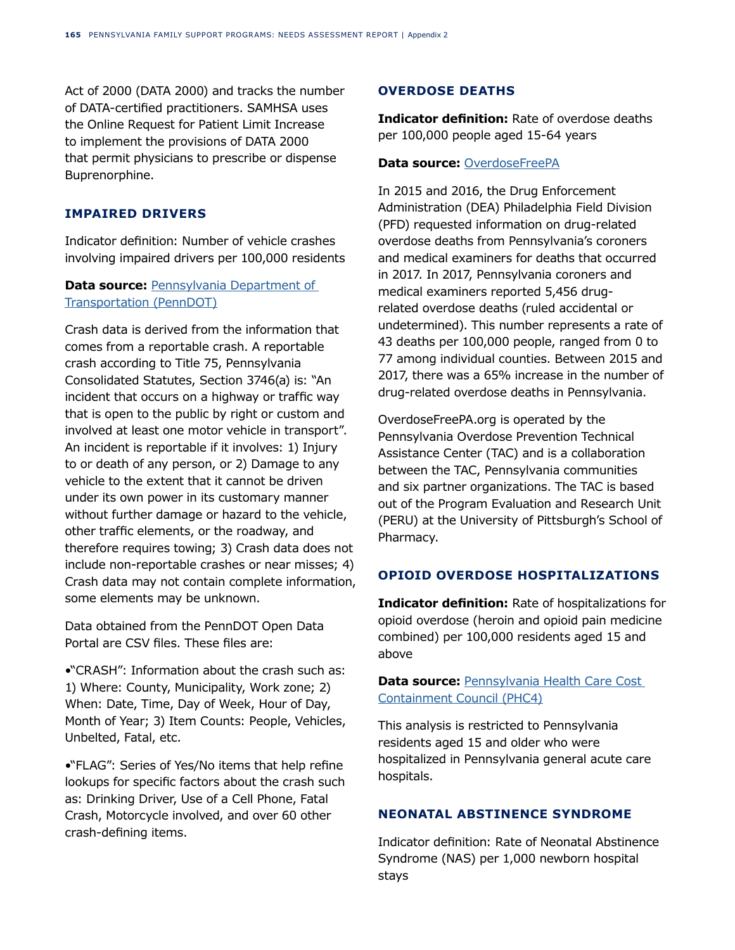Act of 2000 (DATA 2000) and tracks the number of DATA-certified practitioners. SAMHSA uses the Online Request for Patient Limit Increase to implement the provisions of DATA 2000 that permit physicians to prescribe or dispense Buprenorphine.

## **IMPAIRED DRIVERS**

Indicator definition: Number of vehicle crashes involving impaired drivers per 100,000 residents

# **Data source: Pennsylvania Department of** [Transportation \(PennDOT\)](https://www.arcgis.com/apps/webappviewer/index.html?id=8fdbf046e36e41649bbfd9d7dd7c7e7e)

Crash data is derived from the information that comes from a reportable crash. A reportable crash according to Title 75, Pennsylvania Consolidated Statutes, Section 3746(a) is: "An incident that occurs on a highway or traffic way that is open to the public by right or custom and involved at least one motor vehicle in transport". An incident is reportable if it involves: 1) Injury to or death of any person, or 2) Damage to any vehicle to the extent that it cannot be driven under its own power in its customary manner without further damage or hazard to the vehicle, other traffic elements, or the roadway, and therefore requires towing; 3) Crash data does not include non-reportable crashes or near misses; 4) Crash data may not contain complete information, some elements may be unknown.

Data obtained from the PennDOT Open Data Portal are CSV files. These files are:

•"CRASH": Information about the crash such as: 1) Where: County, Municipality, Work zone; 2) When: Date, Time, Day of Week, Hour of Day, Month of Year; 3) Item Counts: People, Vehicles, Unbelted, Fatal, etc.

•"FLAG": Series of Yes/No items that help refine lookups for specific factors about the crash such as: Drinking Driver, Use of a Cell Phone, Fatal Crash, Motorcycle involved, and over 60 other crash-defining items.

## **OVERDOSE DEATHS**

**Indicator definition:** Rate of overdose deaths per 100,000 people aged 15-64 years

### **Data source:** [OverdoseFreePA](https://www.overdosefreepa.pitt.edu/wp-content/uploads/2018/10/PA-Opioid-Report-Final.pdf)

In 2015 and 2016, the Drug Enforcement Administration (DEA) Philadelphia Field Division (PFD) requested information on drug-related overdose deaths from Pennsylvania's coroners and medical examiners for deaths that occurred in 2017. In 2017, Pennsylvania coroners and medical examiners reported 5,456 drugrelated overdose deaths (ruled accidental or undetermined). This number represents a rate of 43 deaths per 100,000 people, ranged from 0 to 77 among individual counties. Between 2015 and 2017, there was a 65% increase in the number of drug-related overdose deaths in Pennsylvania.

OverdoseFreePA.org is operated by the Pennsylvania Overdose Prevention Technical Assistance Center (TAC) and is a collaboration between the TAC, Pennsylvania communities and six partner organizations. The TAC is based out of the Program Evaluation and Research Unit (PERU) at the University of Pittsburgh's School of Pharmacy.

# **OPIOID OVERDOSE HOSPITALIZATIONS**

**Indicator definition:** Rate of hospitalizations for opioid overdose (heroin and opioid pain medicine combined) per 100,000 residents aged 15 and above

**Data source: Pennsylvania Health Care Cost** [Containment Council \(PHC4\)](https://data.pa.gov/Opioid-Related/Rate-of-Hospitalizations-for-Opioid-Overdose-per-1/3f26-q827)

This analysis is restricted to Pennsylvania residents aged 15 and older who were hospitalized in Pennsylvania general acute care hospitals.

# **NEONATAL ABSTINENCE SYNDROME**

Indicator definition: Rate of Neonatal Abstinence Syndrome (NAS) per 1,000 newborn hospital stays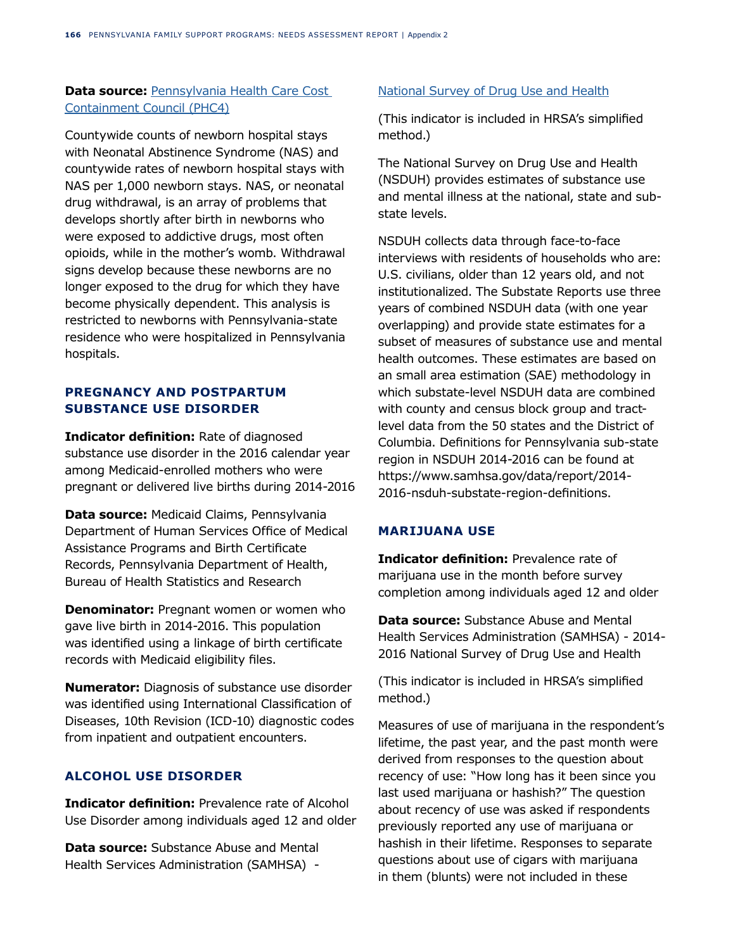# **Data source: Pennsylvania Health Care Cost** [Containment Council \(PHC4\)](https://data.pa.gov/Opioid-Related/Rate-of-Neonatal-Abstinence-Syndrome-per-1-000-New/2ats-ttun)

Countywide counts of newborn hospital stays with Neonatal Abstinence Syndrome (NAS) and countywide rates of newborn hospital stays with NAS per 1,000 newborn stays. NAS, or neonatal drug withdrawal, is an array of problems that develops shortly after birth in newborns who were exposed to addictive drugs, most often opioids, while in the mother's womb. Withdrawal signs develop because these newborns are no longer exposed to the drug for which they have become physically dependent. This analysis is restricted to newborns with Pennsylvania-state residence who were hospitalized in Pennsylvania hospitals.

# **PREGNANCY AND POSTPARTUM SUBSTANCE USE DISORDER**

**Indicator definition:** Rate of diagnosed substance use disorder in the 2016 calendar year among Medicaid-enrolled mothers who were pregnant or delivered live births during 2014-2016

**Data source:** Medicaid Claims, Pennsylvania Department of Human Services Office of Medical Assistance Programs and Birth Certificate Records, Pennsylvania Department of Health, Bureau of Health Statistics and Research

**Denominator:** Pregnant women or women who gave live birth in 2014-2016. This population was identified using a linkage of birth certificate records with Medicaid eligibility files.

**Numerator:** Diagnosis of substance use disorder was identified using International Classification of Diseases, 10th Revision (ICD-10) diagnostic codes from inpatient and outpatient encounters.

# **ALCOHOL USE DISORDER**

**Indicator definition:** Prevalence rate of Alcohol Use Disorder among individuals aged 12 and older

**Data source:** Substance Abuse and Mental Health Services Administration (SAMHSA) -

## [National Survey of Drug Use and Health](https://www.samhsa.gov/data/report/2017-methodological-summary-and-definitions)

(This indicator is included in HRSA's simplified method.)

The National Survey on Drug Use and Health (NSDUH) provides estimates of substance use and mental illness at the national, state and substate levels.

NSDUH collects data through face-to-face interviews with residents of households who are: U.S. civilians, older than 12 years old, and not institutionalized. The Substate Reports use three years of combined NSDUH data (with one year overlapping) and provide state estimates for a subset of measures of substance use and mental health outcomes. These estimates are based on an small area estimation (SAE) methodology in which substate-level NSDUH data are combined with county and census block group and tractlevel data from the 50 states and the District of Columbia. Definitions for Pennsylvania sub-state region in NSDUH 2014-2016 can be found at https://www.samhsa.gov/data/report/2014- 2016-nsduh-substate-region-definitions.

# **MARIJUANA USE**

**Indicator definition:** Prevalence rate of marijuana use in the month before survey completion among individuals aged 12 and older

**Data source:** Substance Abuse and Mental Health Services Administration (SAMHSA) - 2014- 2016 National Survey of Drug Use and Health

(This indicator is included in HRSA's simplified method.)

Measures of use of marijuana in the respondent's lifetime, the past year, and the past month were derived from responses to the question about recency of use: "How long has it been since you last used marijuana or hashish?" The question about recency of use was asked if respondents previously reported any use of marijuana or hashish in their lifetime. Responses to separate questions about use of cigars with marijuana in them (blunts) were not included in these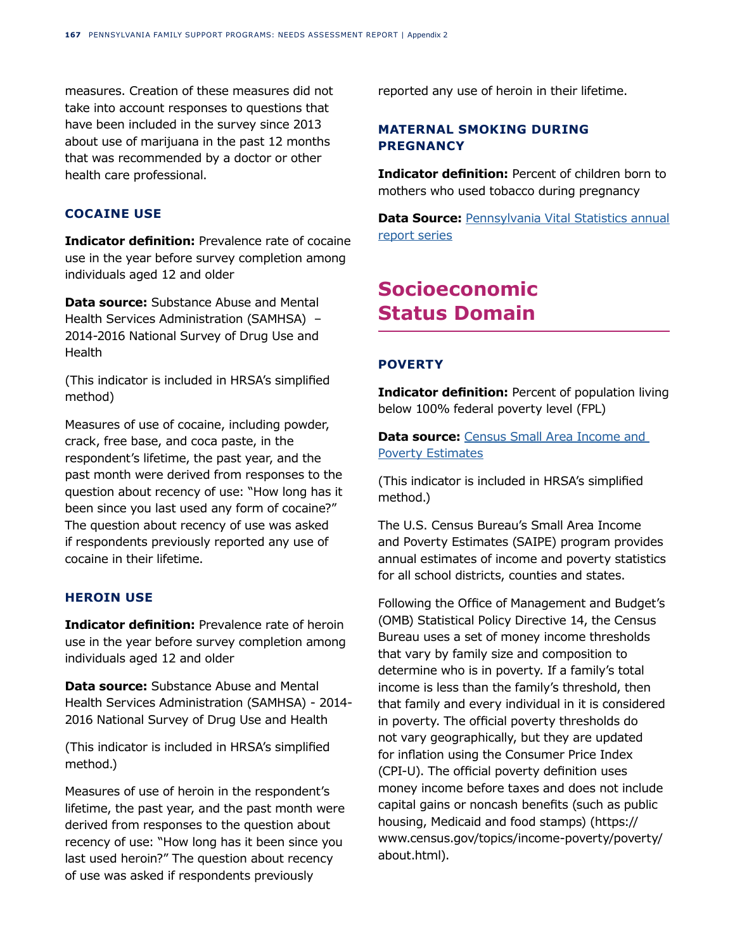measures. Creation of these measures did not take into account responses to questions that have been included in the survey since 2013 about use of marijuana in the past 12 months that was recommended by a doctor or other health care professional.

# **COCAINE USE**

**Indicator definition:** Prevalence rate of cocaine use in the year before survey completion among individuals aged 12 and older

**Data source:** Substance Abuse and Mental Health Services Administration (SAMHSA) – 2014-2016 National Survey of Drug Use and Health

(This indicator is included in HRSA's simplified method)

Measures of use of cocaine, including powder, crack, free base, and coca paste, in the respondent's lifetime, the past year, and the past month were derived from responses to the question about recency of use: "How long has it been since you last used any form of cocaine?" The question about recency of use was asked if respondents previously reported any use of cocaine in their lifetime.

# **HEROIN USE**

**Indicator definition:** Prevalence rate of heroin use in the year before survey completion among individuals aged 12 and older

**Data source:** Substance Abuse and Mental Health Services Administration (SAMHSA) - 2014- 2016 National Survey of Drug Use and Health

(This indicator is included in HRSA's simplified method.)

Measures of use of heroin in the respondent's lifetime, the past year, and the past month were derived from responses to the question about recency of use: "How long has it been since you last used heroin?" The question about recency of use was asked if respondents previously

reported any use of heroin in their lifetime.

# **MATERNAL SMOKING DURING PREGNANCY**

**Indicator definition:** Percent of children born to mothers who used tobacco during pregnancy

**Data Source: [Pennsylvania Vital Statistics annual](https://datacenter.kidscount.org/data/tables/2734-tobacco-use--births-to-mothers-who-used-tobacco-during-pregnancy#detailed/2/any/false/871,870,573,869,36,868,867,133,38,35/any/5672,9347)** [report series](https://datacenter.kidscount.org/data/tables/2734-tobacco-use--births-to-mothers-who-used-tobacco-during-pregnancy#detailed/2/any/false/871,870,573,869,36,868,867,133,38,35/any/5672,9347)

# **Socioeconomic Status Domain**

# **POVERTY**

**Indicator definition:** Percent of population living below 100% federal poverty level (FPL)

**Data source:** [Census Small Area Income and](https://www.census.gov/programs-surveys/saipe/data/api.html)  [Poverty Estimates](https://www.census.gov/programs-surveys/saipe/data/api.html)

(This indicator is included in HRSA's simplified method.)

The U.S. Census Bureau's Small Area Income and Poverty Estimates (SAIPE) program provides annual estimates of income and poverty statistics for all school districts, counties and states.

Following the Office of Management and Budget's (OMB) Statistical Policy Directive 14, the Census Bureau uses a set of money income thresholds that vary by family size and composition to determine who is in poverty. If a family's total income is less than the family's threshold, then that family and every individual in it is considered in poverty. The official poverty thresholds do not vary geographically, but they are updated for inflation using the Consumer Price Index (CPI-U). The official poverty definition uses money income before taxes and does not include capital gains or noncash benefits (such as public housing, Medicaid and food stamps) (https:// www.census.gov/topics/income-poverty/poverty/ about.html).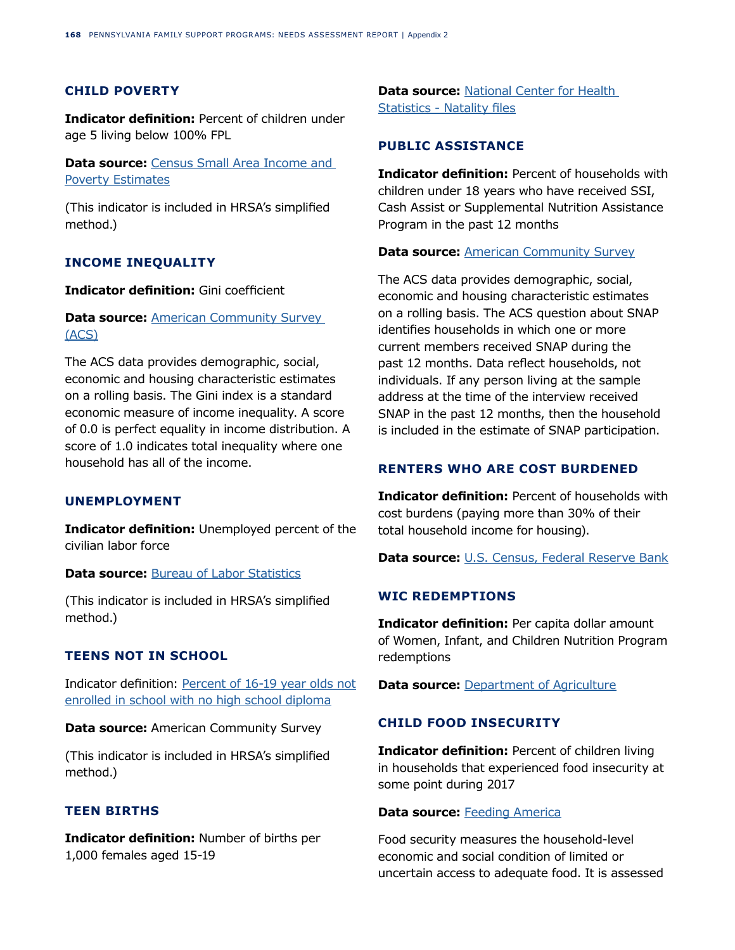### **CHILD POVERTY**

**Indicator definition:** Percent of children under age 5 living below 100% FPL

**Data source: Census Small Area Income and** [Poverty Estimates](https://www.census.gov/programs-surveys/saipe/data/api.html)

(This indicator is included in HRSA's simplified method.)

#### **INCOME INEQUALITY**

### **Indicator definition:** Gini coefficient

# **Data source: American Community Survey** [\(ACS\)](https://www.census.gov/newsroom/press-releases/2017/acs-single-year.html)

The ACS data provides demographic, social, economic and housing characteristic estimates on a rolling basis. The Gini index is a standard economic measure of income inequality. A score of 0.0 is perfect equality in income distribution. A score of 1.0 indicates total inequality where one household has all of the income.

## **UNEMPLOYMENT**

**Indicator definition:** Unemployed percent of the civilian labor force

#### **Data source: [Bureau of Labor Statistics](https://www.bls.gov/lau/#cntyaa)**

(This indicator is included in HRSA's simplified method.)

## **TEENS NOT IN SCHOOL**

Indicator definition: [Percent of 16-19 year olds not](https://data.census.gov/cedsci/)  [enrolled in school with no high school diploma](https://data.census.gov/cedsci/)

**Data source:** American Community Survey

(This indicator is included in HRSA's simplified method.)

#### **TEEN BIRTHS**

**Indicator definition:** Number of births per 1,000 females aged 15-19

**Data source:** [National Center for Health](https://www.countyhealthrankings.org/app/pennsylvania/2019/measure/factors/14/data)  [Statistics - Natality files](https://www.countyhealthrankings.org/app/pennsylvania/2019/measure/factors/14/data)

## **PUBLIC ASSISTANCE**

**Indicator definition:** Percent of households with children under 18 years who have received SSI, Cash Assist or Supplemental Nutrition Assistance Program in the past 12 months

#### **Data source: [American Community Survey](https://www.census.gov/library/publications/2015/acs/acsbr13-08.html)**

The ACS data provides demographic, social, economic and housing characteristic estimates on a rolling basis. The ACS question about SNAP identifies households in which one or more current members received SNAP during the past 12 months. Data reflect households, not individuals. If any person living at the sample address at the time of the interview received SNAP in the past 12 months, then the household is included in the estimate of SNAP participation.

## **RENTERS WHO ARE COST BURDENED**

**Indicator definition:** Percent of households with cost burdens (paying more than 30% of their total household income for housing).

**Data source:** [U.S. Census, Federal Reserve Bank](https://www.policymap.com/)

## **WIC REDEMPTIONS**

**Indicator definition:** Per capita dollar amount of Women, Infant, and Children Nutrition Program redemptions

**Data source: [Department of Agriculture](https://www.policymap.com/data/our-data-directory/#USDA%20Food%20Environment%20Atlas)** 

#### **CHILD FOOD INSECURITY**

**Indicator definition:** Percent of children living in households that experienced food insecurity at some point during 2017

#### **Data source: [Feeding America](http://www.policymap.com/our-data-directory.html#Feeding%20America)**

Food security measures the household-level economic and social condition of limited or uncertain access to adequate food. It is assessed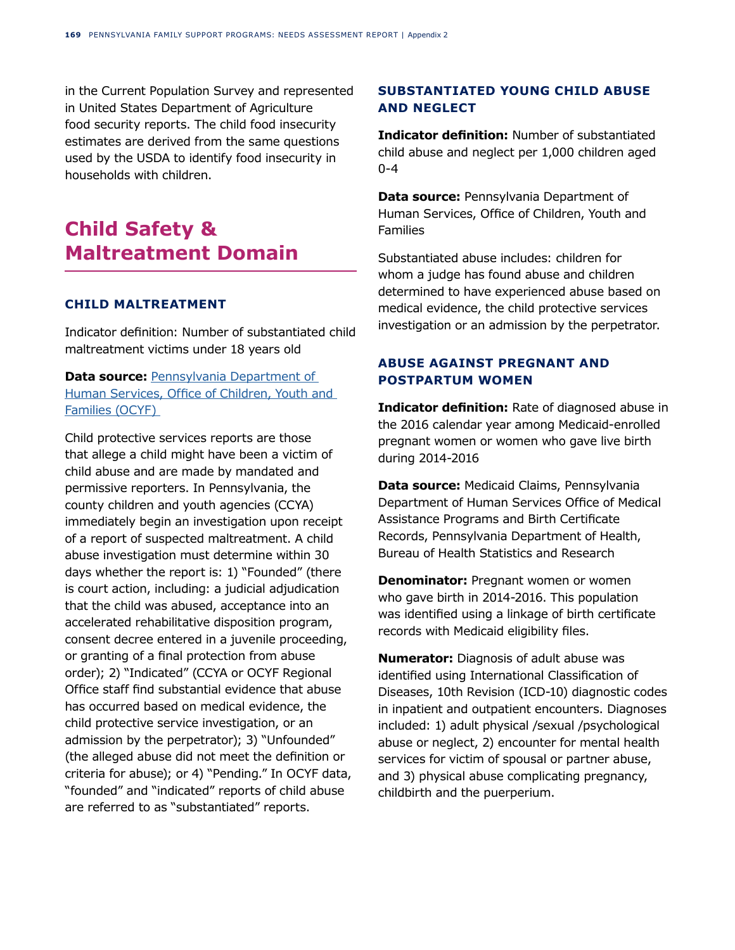in the Current Population Survey and represented in United States Department of Agriculture food security reports. The child food insecurity estimates are derived from the same questions used by the USDA to identify food insecurity in households with children.

# **Child Safety & Maltreatment Domain**

#### **CHILD MALTREATMENT**

Indicator definition: Number of substantiated child maltreatment victims under 18 years old

# **Data source: Pennsylvania Department of** [Human Services, Office of Children, Youth and](https://www.dhs.pa.gov/docs/Publications/Documents/2019%20child%20prev.pdf)  [Families \(OCYF\)](https://www.dhs.pa.gov/docs/Publications/Documents/2019%20child%20prev.pdf)

Child protective services reports are those that allege a child might have been a victim of child abuse and are made by mandated and permissive reporters. In Pennsylvania, the county children and youth agencies (CCYA) immediately begin an investigation upon receipt of a report of suspected maltreatment. A child abuse investigation must determine within 30 days whether the report is: 1) "Founded" (there is court action, including: a judicial adjudication that the child was abused, acceptance into an accelerated rehabilitative disposition program, consent decree entered in a juvenile proceeding, or granting of a final protection from abuse order); 2) "Indicated" (CCYA or OCYF Regional Office staff find substantial evidence that abuse has occurred based on medical evidence, the child protective service investigation, or an admission by the perpetrator); 3) "Unfounded" (the alleged abuse did not meet the definition or criteria for abuse); or 4) "Pending." In OCYF data, "founded" and "indicated" reports of child abuse are referred to as "substantiated" reports.

# **SUBSTANTIATED YOUNG CHILD ABUSE AND NEGLECT**

**Indicator definition:** Number of substantiated child abuse and neglect per 1,000 children aged 0-4

**Data source:** Pennsylvania Department of Human Services, Office of Children, Youth and Families

Substantiated abuse includes: children for whom a judge has found abuse and children determined to have experienced abuse based on medical evidence, the child protective services investigation or an admission by the perpetrator.

# **ABUSE AGAINST PREGNANT AND POSTPARTUM WOMEN**

**Indicator definition:** Rate of diagnosed abuse in the 2016 calendar year among Medicaid-enrolled pregnant women or women who gave live birth during 2014-2016

**Data source:** Medicaid Claims, Pennsylvania Department of Human Services Office of Medical Assistance Programs and Birth Certificate Records, Pennsylvania Department of Health, Bureau of Health Statistics and Research

**Denominator:** Pregnant women or women who gave birth in 2014-2016. This population was identified using a linkage of birth certificate records with Medicaid eligibility files.

**Numerator:** Diagnosis of adult abuse was identified using International Classification of Diseases, 10th Revision (ICD-10) diagnostic codes in inpatient and outpatient encounters. Diagnoses included: 1) adult physical /sexual /psychological abuse or neglect, 2) encounter for mental health services for victim of spousal or partner abuse, and 3) physical abuse complicating pregnancy, childbirth and the puerperium.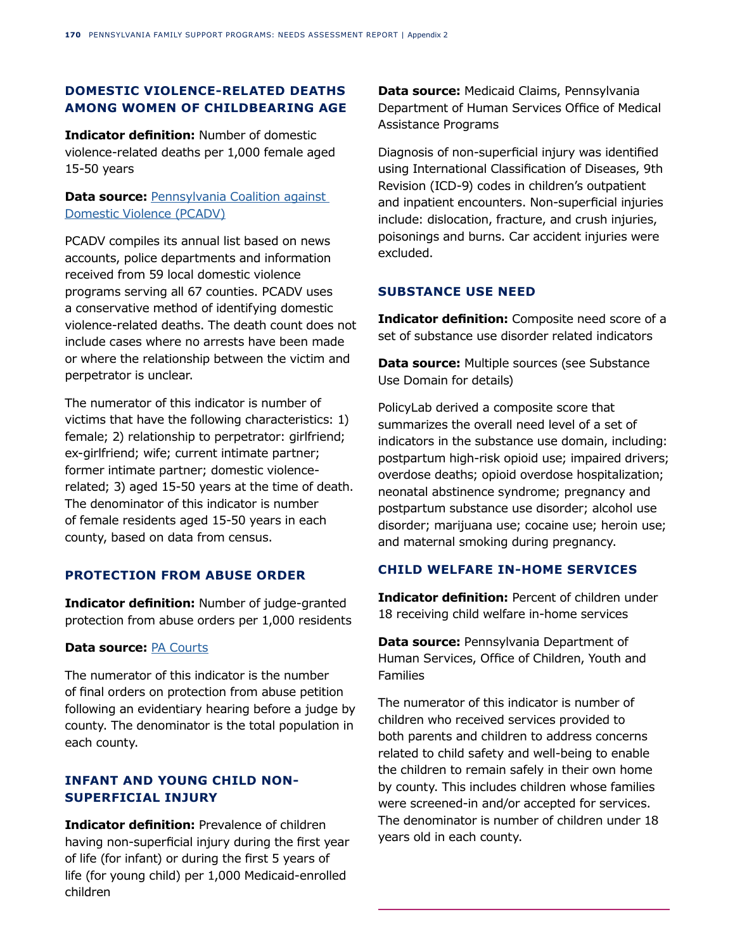# **DOMESTIC VIOLENCE-RELATED DEATHS AMONG WOMEN OF CHILDBEARING AGE**

**Indicator definition:** Number of domestic violence-related deaths per 1,000 female aged 15-50 years

# **Data source: Pennsylvania Coalition against** [Domestic Violence \(PCADV\)](https://www.pcadv.org/wp-content/uploads/2018-Fatality-Report_web.pdf)

PCADV compiles its annual list based on news accounts, police departments and information received from 59 local domestic violence programs serving all 67 counties. PCADV uses a conservative method of identifying domestic violence-related deaths. The death count does not include cases where no arrests have been made or where the relationship between the victim and perpetrator is unclear.

The numerator of this indicator is number of victims that have the following characteristics: 1) female; 2) relationship to perpetrator: girlfriend; ex-girlfriend; wife; current intimate partner; former intimate partner; domestic violencerelated; 3) aged 15-50 years at the time of death. The denominator of this indicator is number of female residents aged 15-50 years in each county, based on data from census.

# **PROTECTION FROM ABUSE ORDER**

**Indicator definition:** Number of judge-granted protection from abuse orders per 1,000 residents

### **Data source:** [PA Courts](http://www.pacourts.us/news-and-statistics/research-and-statistics/dashboard-table-of-contents/protection-from-abuse)

The numerator of this indicator is the number of final orders on protection from abuse petition following an evidentiary hearing before a judge by county. The denominator is the total population in each county.

# **INFANT AND YOUNG CHILD NON-SUPERFICIAL INJURY**

**Indicator definition:** Prevalence of children having non-superficial injury during the first year of life (for infant) or during the first 5 years of life (for young child) per 1,000 Medicaid-enrolled children

**Data source:** Medicaid Claims, Pennsylvania Department of Human Services Office of Medical Assistance Programs

Diagnosis of non-superficial injury was identified using International Classification of Diseases, 9th Revision (ICD-9) codes in children's outpatient and inpatient encounters. Non-superficial injuries include: dislocation, fracture, and crush injuries, poisonings and burns. Car accident injuries were excluded.

## **SUBSTANCE USE NEED**

**Indicator definition:** Composite need score of a set of substance use disorder related indicators

**Data source:** Multiple sources (see Substance Use Domain for details)

PolicyLab derived a composite score that summarizes the overall need level of a set of indicators in the substance use domain, including: postpartum high-risk opioid use; impaired drivers; overdose deaths; opioid overdose hospitalization; neonatal abstinence syndrome; pregnancy and postpartum substance use disorder; alcohol use disorder; marijuana use; cocaine use; heroin use; and maternal smoking during pregnancy.

# **CHILD WELFARE IN-HOME SERVICES**

**Indicator definition:** Percent of children under 18 receiving child welfare in-home services

**Data source:** Pennsylvania Department of Human Services, Office of Children, Youth and Families

The numerator of this indicator is number of children who received services provided to both parents and children to address concerns related to child safety and well-being to enable the children to remain safely in their own home by county. This includes children whose families were screened-in and/or accepted for services. The denominator is number of children under 18 years old in each county.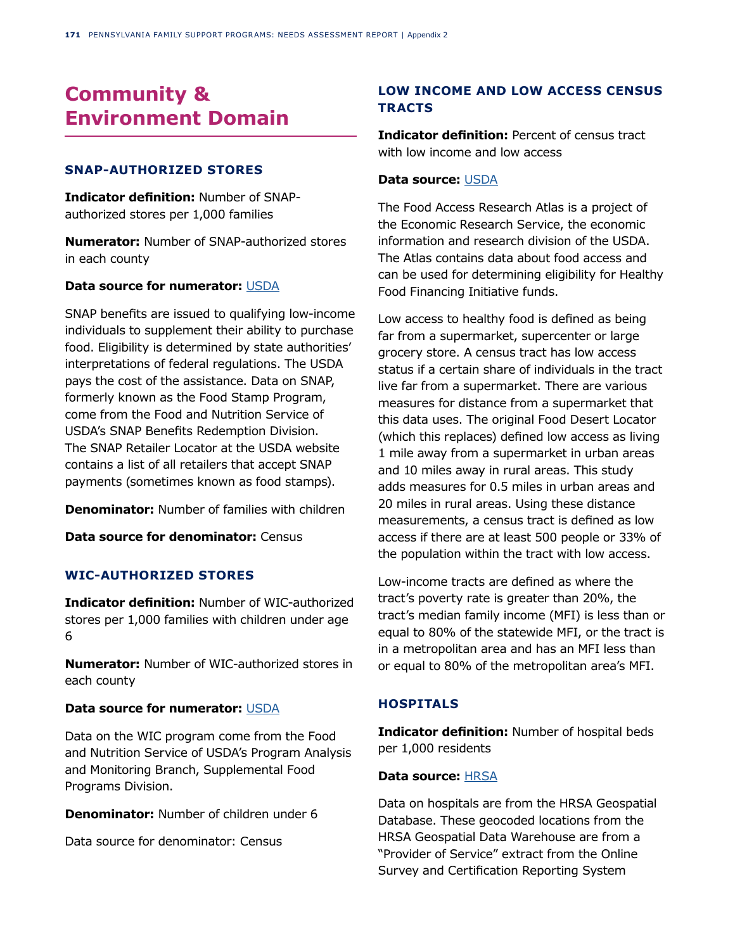# **Community & Environment Domain**

## **SNAP-AUTHORIZED STORES**

**Indicator definition:** Number of SNAPauthorized stores per 1,000 families

**Numerator:** Number of SNAP-authorized stores in each county

#### **Data source for numerator:** [USDA](https://www.ers.usda.gov/data-products/food-environment-atlas/go-to-the-atlas/)

SNAP benefits are issued to qualifying low-income individuals to supplement their ability to purchase food. Eligibility is determined by state authorities' interpretations of federal regulations. The USDA pays the cost of the assistance. Data on SNAP, formerly known as the Food Stamp Program, come from the Food and Nutrition Service of USDA's SNAP Benefits Redemption Division. The SNAP Retailer Locator at the USDA website contains a list of all retailers that accept SNAP payments (sometimes known as food stamps).

**Denominator:** Number of families with children

**Data source for denominator:** Census

## **WIC-AUTHORIZED STORES**

**Indicator definition:** Number of WIC-authorized stores per 1,000 families with children under age 6

**Numerator:** Number of WIC-authorized stores in each county

#### **Data source for numerator:** [USDA](https://www.ers.usda.gov/data-products/food-environment-atlas/go-to-the-atlas/)

Data on the WIC program come from the Food and Nutrition Service of USDA's Program Analysis and Monitoring Branch, Supplemental Food Programs Division.

**Denominator:** Number of children under 6

Data source for denominator: Census

# **LOW INCOME AND LOW ACCESS CENSUS TRACTS**

**Indicator definition:** Percent of census tract with low income and low access

#### **Data source:** [USDA](https://www.ers.usda.gov/data-products/food-access-research-atlas/documentation/)

The Food Access Research Atlas is a project of the Economic Research Service, the economic information and research division of the USDA. The Atlas contains data about food access and can be used for determining eligibility for Healthy Food Financing Initiative funds.

Low access to healthy food is defined as being far from a supermarket, supercenter or large grocery store. A census tract has low access status if a certain share of individuals in the tract live far from a supermarket. There are various measures for distance from a supermarket that this data uses. The original Food Desert Locator (which this replaces) defined low access as living 1 mile away from a supermarket in urban areas and 10 miles away in rural areas. This study adds measures for 0.5 miles in urban areas and 20 miles in rural areas. Using these distance measurements, a census tract is defined as low access if there are at least 500 people or 33% of the population within the tract with low access.

Low-income tracts are defined as where the tract's poverty rate is greater than 20%, the tract's median family income (MFI) is less than or equal to 80% of the statewide MFI, or the tract is in a metropolitan area and has an MFI less than or equal to 80% of the metropolitan area's MFI.

#### **HOSPITALS**

**Indicator definition:** Number of hospital beds per 1,000 residents

#### **Data source:** [HRSA](https://data.hrsa.gov/tools/data-explorer)

Data on hospitals are from the HRSA Geospatial Database. These geocoded locations from the HRSA Geospatial Data Warehouse are from a "Provider of Service" extract from the Online Survey and Certification Reporting System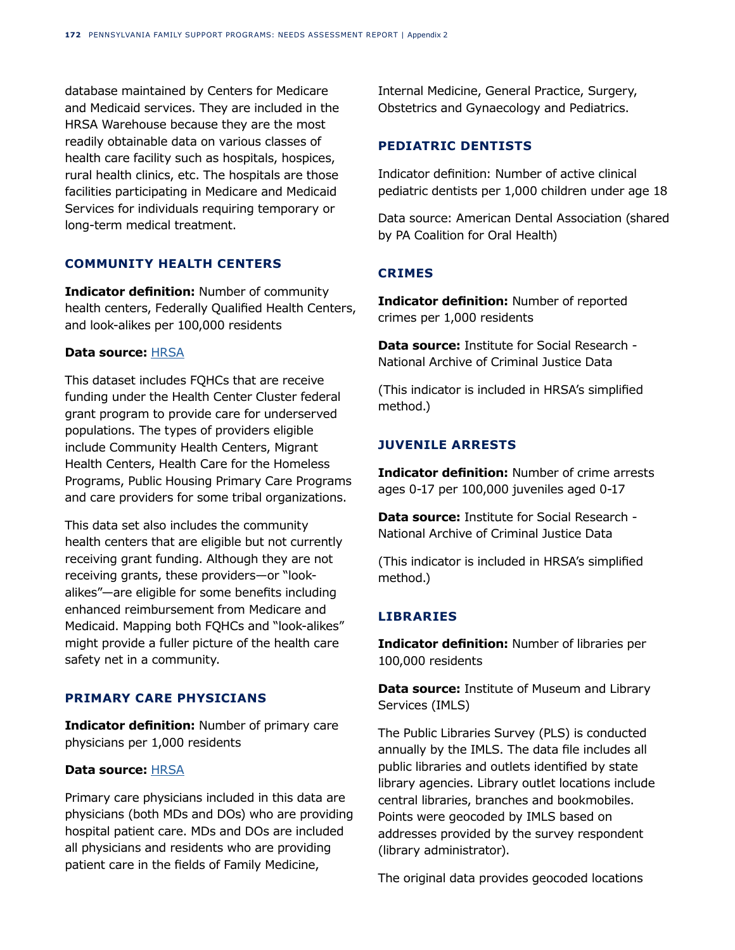database maintained by Centers for Medicare and Medicaid services. They are included in the HRSA Warehouse because they are the most readily obtainable data on various classes of health care facility such as hospitals, hospices, rural health clinics, etc. The hospitals are those facilities participating in Medicare and Medicaid Services for individuals requiring temporary or long-term medical treatment.

# **COMMUNITY HEALTH CENTERS**

**Indicator definition:** Number of community health centers, Federally Qualified Health Centers, and look-alikes per 100,000 residents

#### **Data source:** [HRSA](https://data.hrsa.gov/tools/data-explorer)

This dataset includes FQHCs that are receive funding under the Health Center Cluster federal grant program to provide care for underserved populations. The types of providers eligible include Community Health Centers, Migrant Health Centers, Health Care for the Homeless Programs, Public Housing Primary Care Programs and care providers for some tribal organizations.

This data set also includes the community health centers that are eligible but not currently receiving grant funding. Although they are not receiving grants, these providers—or "lookalikes"—are eligible for some benefits including enhanced reimbursement from Medicare and Medicaid. Mapping both FQHCs and "look-alikes" might provide a fuller picture of the health care safety net in a community.

#### **PRIMARY CARE PHYSICIANS**

**Indicator definition:** Number of primary care physicians per 1,000 residents

#### **Data source:** [HRSA](https://search1.hrsa.gov/texis/search/?mode=&opts=&pr=data-prod&dropXSL=html&sq=&prox=page&rorder=1000&rprox=750&rdfreq=500&rwfreq=0&rlead=1000&rdepth=0&sufs=2&order=r&query=Number+of+primary+care+physicians+per+1%2C000+residents)

Primary care physicians included in this data are physicians (both MDs and DOs) who are providing hospital patient care. MDs and DOs are included all physicians and residents who are providing patient care in the fields of Family Medicine,

Internal Medicine, General Practice, Surgery, Obstetrics and Gynaecology and Pediatrics.

## **PEDIATRIC DENTISTS**

Indicator definition: Number of active clinical pediatric dentists per 1,000 children under age 18

Data source: American Dental Association (shared by PA Coalition for Oral Health)

# **CRIMES**

**Indicator definition:** Number of reported crimes per 1,000 residents

**Data source:** Institute for Social Research - National Archive of Criminal Justice Data

(This indicator is included in HRSA's simplified method.)

## **JUVENILE ARRESTS**

**Indicator definition:** Number of crime arrests ages 0-17 per 100,000 juveniles aged 0-17

**Data source:** Institute for Social Research - National Archive of Criminal Justice Data

(This indicator is included in HRSA's simplified method.)

# **LIBRARIES**

**Indicator definition:** Number of libraries per 100,000 residents

**Data source:** Institute of Museum and Library Services (IMLS)

The Public Libraries Survey (PLS) is conducted annually by the IMLS. The data file includes all public libraries and outlets identified by state library agencies. Library outlet locations include central libraries, branches and bookmobiles. Points were geocoded by IMLS based on addresses provided by the survey respondent (library administrator).

The original data provides geocoded locations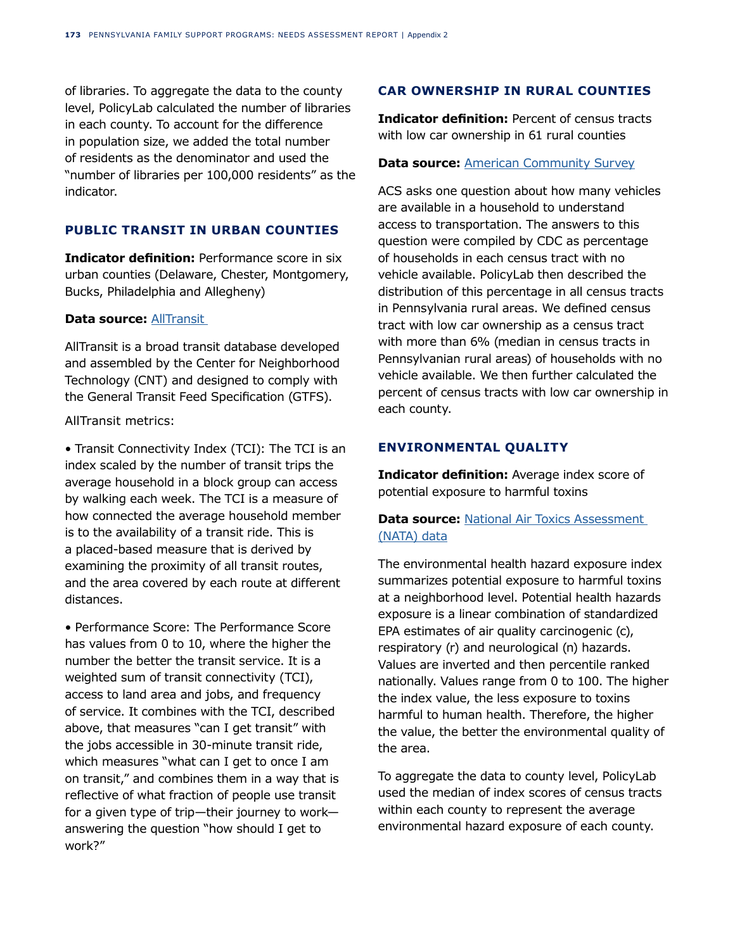of libraries. To aggregate the data to the county level, PolicyLab calculated the number of libraries in each county. To account for the difference in population size, we added the total number of residents as the denominator and used the "number of libraries per 100,000 residents" as the indicator.

# **PUBLIC TRANSIT IN URBAN COUNTIES**

**Indicator definition:** Performance score in six urban counties (Delaware, Chester, Montgomery, Bucks, Philadelphia and Allegheny)

## **Data source: AllTransit**

AllTransit is a broad transit database developed and assembled by the Center for Neighborhood Technology (CNT) and designed to comply with the General Transit Feed Specification (GTFS).

## AllTransit metrics:

• Transit Connectivity Index (TCI): The TCI is an index scaled by the number of transit trips the average household in a block group can access by walking each week. The TCI is a measure of how connected the average household member is to the availability of a transit ride. This is a placed-based measure that is derived by examining the proximity of all transit routes, and the area covered by each route at different distances.

• Performance Score: The Performance Score has values from 0 to 10, where the higher the number the better the transit service. It is a weighted sum of transit connectivity (TCI), access to land area and jobs, and frequency of service. It combines with the TCI, described above, that measures "can I get transit" with the jobs accessible in 30-minute transit ride, which measures "what can I get to once I am on transit," and combines them in a way that is reflective of what fraction of people use transit for a given type of trip—their journey to work answering the question "how should I get to work?"

# **CAR OWNERSHIP IN RURAL COUNTIES**

**Indicator definition:** Percent of census tracts with low car ownership in 61 rural counties

### **Data source: [American Community Survey](https://data.census.gov/cedsci/)**

ACS asks one question about how many vehicles are available in a household to understand access to transportation. The answers to this question were compiled by CDC as percentage of households in each census tract with no vehicle available. PolicyLab then described the distribution of this percentage in all census tracts in Pennsylvania rural areas. We defined census tract with low car ownership as a census tract with more than 6% (median in census tracts in Pennsylvanian rural areas) of households with no vehicle available. We then further calculated the percent of census tracts with low car ownership in each county.

# **ENVIRONMENTAL QUALITY**

**Indicator definition:** Average index score of potential exposure to harmful toxins

# **Data source:** [National Air Toxics Assessment](https://earthworks.stanford.edu/)  [\(NATA\) data](https://earthworks.stanford.edu/)

The environmental health hazard exposure index summarizes potential exposure to harmful toxins at a neighborhood level. Potential health hazards exposure is a linear combination of standardized EPA estimates of air quality carcinogenic (c), respiratory (r) and neurological (n) hazards. Values are inverted and then percentile ranked nationally. Values range from 0 to 100. The higher the index value, the less exposure to toxins harmful to human health. Therefore, the higher the value, the better the environmental quality of the area.

To aggregate the data to county level, PolicyLab used the median of index scores of census tracts within each county to represent the average environmental hazard exposure of each county.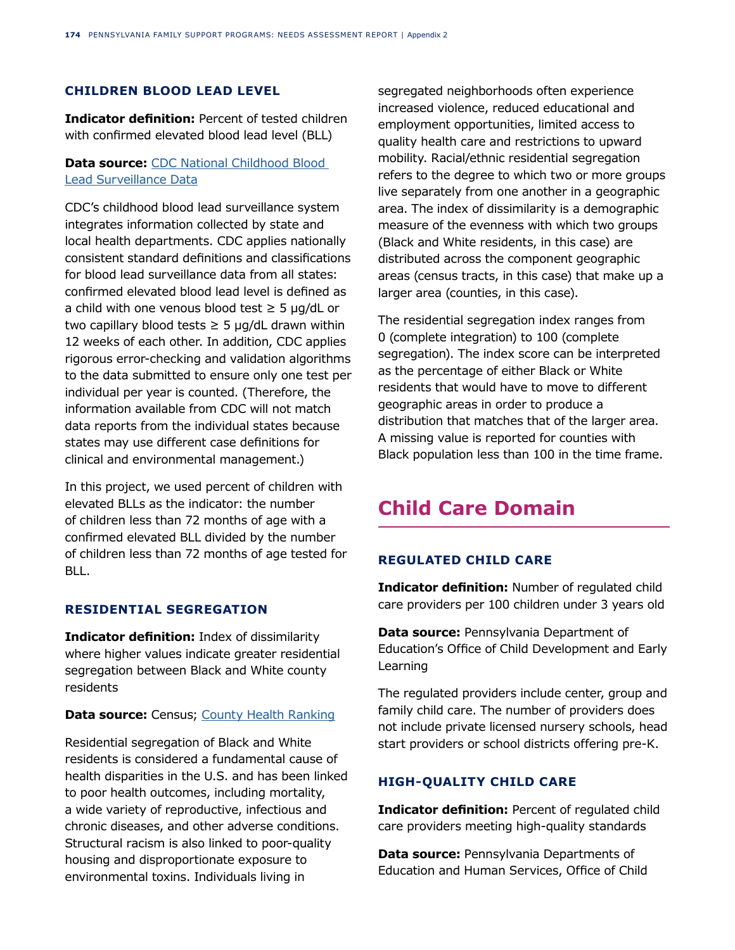# **CHILDREN BLOOD LEAD LEVEL**

**Indicator definition:** Percent of tested children with confirmed elevated blood lead level (BLL)

# **Data source:** [CDC National Childhood Blood](https://www.cdc.gov/nceh/lead/data/national.htm)  [Lead Surveillance Data](https://www.cdc.gov/nceh/lead/data/national.htm)

CDC's childhood blood lead surveillance system integrates information collected by state and local health departments. CDC applies nationally consistent standard definitions and classifications for blood lead surveillance data from all states: confirmed elevated blood lead level is defined as a child with one venous blood test  $\geq$  5 µg/dL or two capillary blood tests  $\geq$  5 µg/dL drawn within 12 weeks of each other. In addition, CDC applies rigorous error-checking and validation algorithms to the data submitted to ensure only one test per individual per year is counted. (Therefore, the information available from CDC will not match data reports from the individual states because states may use different case definitions for clinical and environmental management.)

In this project, we used percent of children with elevated BLLs as the indicator: the number of children less than 72 months of age with a confirmed elevated BLL divided by the number of children less than 72 months of age tested for BLL.

# **RESIDENTIAL SEGREGATION**

**Indicator definition:** Index of dissimilarity where higher values indicate greater residential segregation between Black and White county residents

#### **Data source:** Census; [County Health Ranking](https://www.countyhealthrankings.org/app/pennsylvania/2020/measure/factors/141/data)

Residential segregation of Black and White residents is considered a fundamental cause of health disparities in the U.S. and has been linked to poor health outcomes, including mortality, a wide variety of reproductive, infectious and chronic diseases, and other adverse conditions. Structural racism is also linked to poor-quality housing and disproportionate exposure to environmental toxins. Individuals living in

segregated neighborhoods often experience increased violence, reduced educational and employment opportunities, limited access to quality health care and restrictions to upward mobility. Racial/ethnic residential segregation refers to the degree to which two or more groups live separately from one another in a geographic area. The index of dissimilarity is a demographic measure of the evenness with which two groups (Black and White residents, in this case) are distributed across the component geographic areas (census tracts, in this case) that make up a larger area (counties, in this case).

The residential segregation index ranges from 0 (complete integration) to 100 (complete segregation). The index score can be interpreted as the percentage of either Black or White residents that would have to move to different geographic areas in order to produce a distribution that matches that of the larger area. A missing value is reported for counties with Black population less than 100 in the time frame.

# **Child Care Domain**

# **REGULATED CHILD CARE**

**Indicator definition:** Number of regulated child care providers per 100 children under 3 years old

**Data source:** Pennsylvania Department of Education's Office of Child Development and Early Learning

The regulated providers include center, group and family child care. The number of providers does not include private licensed nursery schools, head start providers or school districts offering pre-K.

# **HIGH-QUALITY CHILD CARE**

**Indicator definition:** Percent of regulated child care providers meeting high-quality standards

**Data source: Pennsylvania Departments of** Education and Human Services, Office of Child